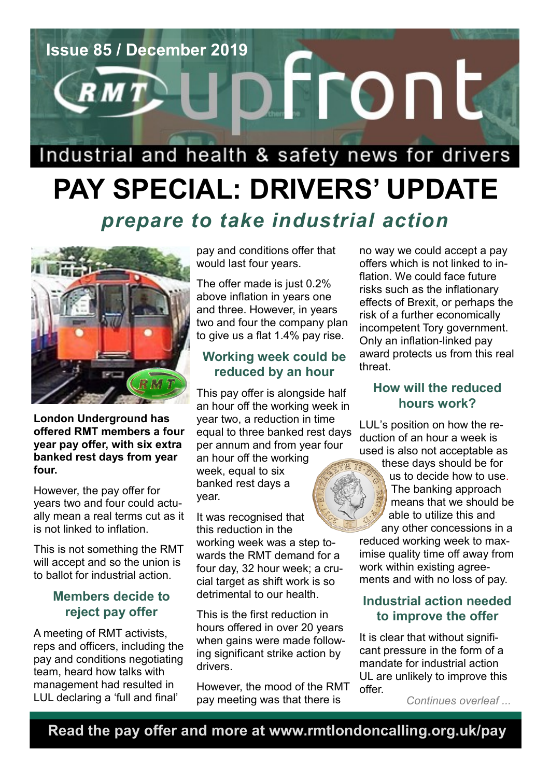

# **PAY SPECIAL: DRIVERS' UPDATE** *prepare to take industrial action*



**London Underground has offered RMT members a four year pay offer, with six extra banked rest days from year four.**

However, the pay offer for years two and four could actually mean a real terms cut as it is not linked to inflation.

This is not something the RMT will accept and so the union is to ballot for industrial action.

#### **Members decide to reject pay offer**

A meeting of RMT activists, reps and officers, including the pay and conditions negotiating team, heard how talks with management had resulted in LUL declaring a 'full and final'

pay and conditions offer that would last four years.

The offer made is just 0.2% above inflation in years one and three. However, in years two and four the company plan to give us a flat 1.4% pay rise.

### **Working week could be reduced by an hour**

This pay offer is alongside half an hour off the working week in year two, a reduction in time equal to three banked rest days per annum and from year four an hour off the working week, equal to six banked rest days a year.

It was recognised that this reduction in the working week was a step towards the RMT demand for a four day, 32 hour week; a crucial target as shift work is so detrimental to our health.

This is the first reduction in hours offered in over 20 years when gains were made following significant strike action by drivers.

However, the mood of the RMT pay meeting was that there is

no way we could accept a pay offers which is not linked to inflation. We could face future risks such as the inflationary effects of Brexit, or perhaps the risk of a further economically incompetent Tory government. Only an inflation-linked pay award protects us from this real threat.

#### **How will the reduced hours work?**

LUL's position on how the reduction of an hour a week is used is also not acceptable as

these days should be for us to decide how to use. The banking approach means that we should be able to utilize this and any other concessions in a reduced working week to max-

imise quality time off away from work within existing agreements and with no loss of pay.

#### **Industrial action needed to improve the offer**

It is clear that without significant pressure in the form of a mandate for industrial action UL are unlikely to improve this offer.

*Continues overleaf ...*